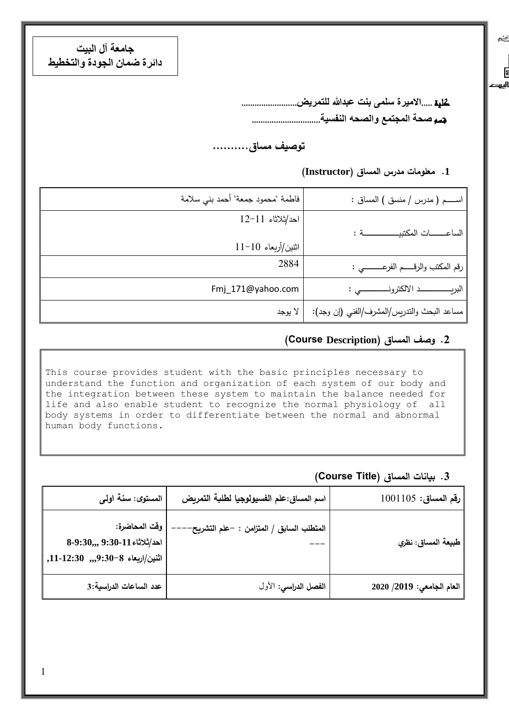**جامعة آل البيت دائرة ضمان الجودة والتخطيط**

> كلية .....**االميرة سلمى بنت عبدهللا للتمريض**......................... قسم **صحة المجتمع والصحه النفسية**...............................

### **توصيف مساق..........**

#### **.1 معلومات مدرس المساق )Instructor)**

یخچ

E اليروح

| اســـم ( مدرس / منسق ) المساق :             | فاطمة "محمود جمعة" أحمد بني سلامة |
|---------------------------------------------|-----------------------------------|
|                                             | $12-11$ احد/ثلاثاء                |
| الساعــــات المكتبيـــــــــــة :           | اثنين/أربعاء 10-11                |
| رقم المكتب والرقـــــم الفرعــــــــــي :   | 2884                              |
|                                             | Fmj_171@yahoo.com                 |
| مساعد البحث والتدريس/المشرف/الفني (إن وجد): | لا يوجد                           |

#### **.2 وصف المساق )Description Course(**

This course provides student with the basic principles necessary to understand the function and organization of each system of our body and the integration between these system to maintain the balance needed for life and also enable student to recognize the normal physiology of all body systems in order to differentiate between the normal and abnormal human body functions.

#### **.3 بيانات المساق )Title Course)**

| $1001105:$ رقم المساق:    | اسم المساق:علم الفسيولوجيا لطلبة التمريض  | المستوى: سنة اولى                                                                      |
|---------------------------|-------------------------------------------|----------------------------------------------------------------------------------------|
| طبيعة المساق: نظري        | المتطلب السابق / المتزامن : –علم التشريح· | وقت المحاضرة:<br>$8-9:30,$ احد/ثلاثاء 11-30 $($ 8.<br>اثنين/اربعاء 8-30:9,,, 11-12:30, |
| العام الجامعي: 2019/ 2020 | الفصل الدراسي: الأول                      | عدد الساعات الدراسية:3                                                                 |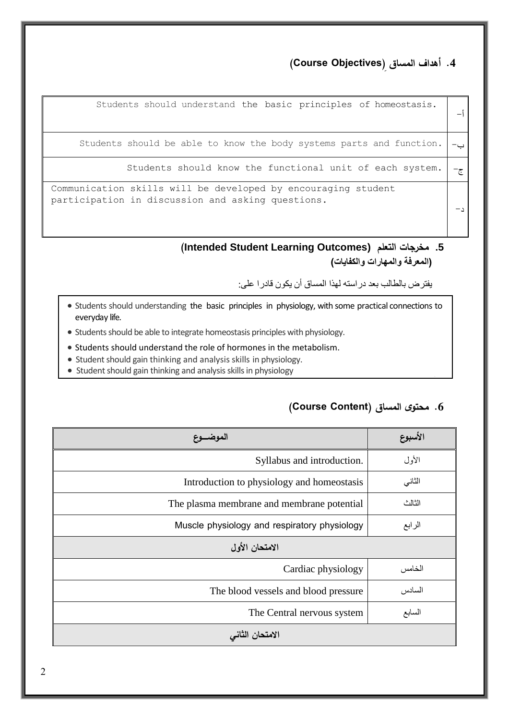## **.4 أهداف المساق ) Objectives Course)**

| Students should understand the basic principles of homeostasis.                                                    |  |
|--------------------------------------------------------------------------------------------------------------------|--|
| Students should be able to know the body systems parts and function.                                               |  |
| Students should know the functional unit of each system.                                                           |  |
| Communication skills will be developed by encouraging student<br>participation in discussion and asking questions. |  |

**(Intended Student Learning Outcomes) التعلم مخرجات .5 )المعرفة والمهارات والكفايات(**

يفترض بالطالب بعد دراسته لهذا المساق أن يكون قادرا على:

- Students should understanding the basic principles in physiology, with some practical connections to everyday life.
- Students should be able to integrate homeostasis principles with physiology.
- Students should understand the role of hormones in the metabolism.
- Student should gain thinking and analysis skills in physiology.
- Student should gain thinking and analysis skills in physiology

#### **.6 محتوى المساق )Content Course)**

| الموضـــوع                                   | الأسبوع |
|----------------------------------------------|---------|
| Syllabus and introduction.                   | الأول   |
| Introduction to physiology and homeostasis   | الثاني  |
| The plasma membrane and membrane potential   | الثالث  |
| Muscle physiology and respiratory physiology | الرابع  |
| الامتحان الأول                               |         |
| Cardiac physiology                           | الخامس  |
| The blood vessels and blood pressure         | السادس  |
| The Central nervous system                   | السابع  |
| الامتحان الثانى                              |         |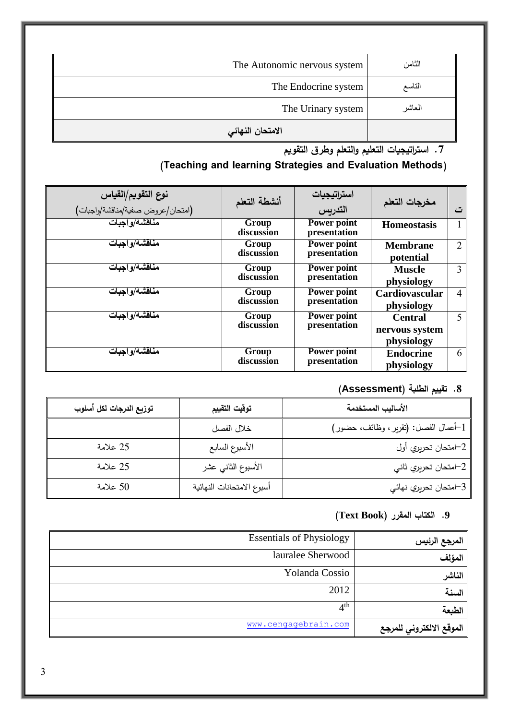| The Autonomic nervous system | الثامن  |
|------------------------------|---------|
| The Endocrine system         | التاسع  |
| The Urinary system           | المعاشر |
| الامتحان النهائي             |         |

**.7 است ارتيجيات التعليم والتعلم وطرق التقويم**

# **)Teaching and learning Strategies and Evaluation Methods(**

| <b>نوع التقويم/القياس</b><br>(امتحا <i>ن عروض ص</i> فية/مناقشة/واجبات) | أنشطة التعلم        | استراتيجيات<br>التدريس      | مخرجات التعلم                                  | ت              |
|------------------------------------------------------------------------|---------------------|-----------------------------|------------------------------------------------|----------------|
| مناقشة/واجبات                                                          | Group<br>discussion | Power point<br>presentation | <b>Homeostasis</b>                             | 1              |
| مناقشة/و اجبات                                                         | Group<br>discussion | Power point<br>presentation | <b>Membrane</b><br>potential                   | 2              |
| مناقشة واجبات                                                          | Group<br>discussion | Power point<br>presentation | <b>Muscle</b><br>physiology                    | 3              |
| مناقشة/واجبات                                                          | Group<br>discussion | Power point<br>presentation | Cardiovascular<br>physiology                   | $\overline{4}$ |
| مناقشة/و اجبات                                                         | Group<br>discussion | Power point<br>presentation | <b>Central</b><br>nervous system<br>physiology | 5              |
| مناقشة/و اجبات                                                         | Group<br>discussion | Power point<br>presentation | <b>Endocrine</b><br>physiology                 | 6              |

# **.8 تقييم الطلبة )Assessment)**

| توزيع الدرجات لكل أسلوب | توقيت التقييم             | الأساليب المستخدمة                   |
|-------------------------|---------------------------|--------------------------------------|
|                         | خلال الفصل                | 1–أعمال الفصل: (تقرير ، وظائف، حضور) |
| 25 علامة                | الأسبوع السابع            | 2–امتحان تحريري أول                  |
| 25 علامة                | الأسبوع الثاني عشر        | 2–امتحان تحريري ثاني                 |
| 50 علامة                | أسبوع الامتحانات النهائية | 3–امتحان تحريري نهائي                |

## **.9 الكتاب المقرر )Book Text)**

| المرجع الرئيس            | <b>Essentials of Physiology</b> |
|--------------------------|---------------------------------|
| المؤلف                   | lauralee Sherwood               |
| الناشر                   | Yolanda Cossio                  |
| السنة                    | 2012                            |
| الطبعة                   | 4 <sup>th</sup>                 |
| الموقع الالكتروني للمرجع | www.cengagebrain.com            |